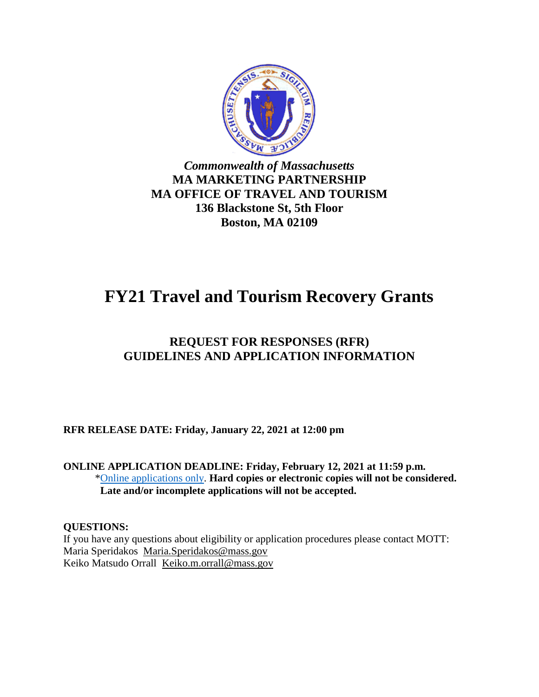

### *Commonwealth of Massachusetts* **MA MARKETING PARTNERSHIP MA OFFICE OF TRAVEL AND TOURISM 136 Blackstone St, 5th Floor Boston, MA 02109**

# **FY21 Travel and Tourism Recovery Grants**

## **REQUEST FOR RESPONSES (RFR) GUIDELINES AND APPLICATION INFORMATION**

**RFR RELEASE DATE: Friday, January 22, 2021 at 12:00 pm** 

**ONLINE APPLICATION DEADLINE: Friday, February 12, 2021 at 11:59 p.m.** [\\*Online applications only.](https://www.mass.gov/forms/travel-and-tourism-recovery-grant-program-for-fy21) **Hard copies or electronic copies will not be considered. Late and/or incomplete applications will not be accepted.**

#### **QUESTIONS:**

If you have any questions about eligibility or application procedures please contact MOTT: Maria Speridakos [Maria.Speridakos@mass.gov](mailto:Maria.Speridakos@mass.gov)  Keiko Matsudo Orrall [Keiko.m.orrall@mass.gov](mailto:Keiko.m.orrall@mass.gov)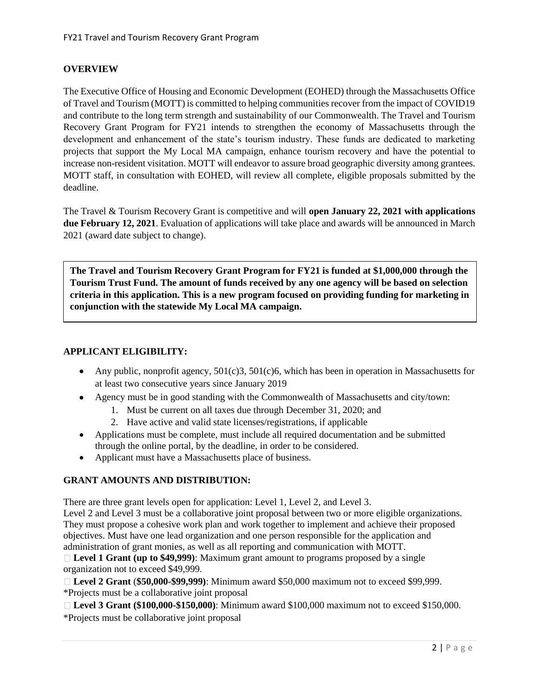#### **OVERVIEW**

The Executive Office of Housing and Economic Development (EOHED) through the Massachusetts Office of Travel and Tourism (MOTT) is committed to helping communities recover from the impact of COVID19 and contribute to the long term strength and sustainability of our Commonwealth. The Travel and Tourism Recovery Grant Program for FY21 intends to strengthen the economy of Massachusetts through the development and enhancement of the state's tourism industry. These funds are dedicated to marketing projects that support the My Local MA campaign, enhance tourism recovery and have the potential to increase non-resident visitation. MOTT will endeavor to assure broad geographic diversity among grantees. MOTT staff, in consultation with EOHED, will review all complete, eligible proposals submitted by the deadline.

The Travel & Tourism Recovery Grant is competitive and will **open January 22, 2021 with applications due February 12, 2021**. Evaluation of applications will take place and awards will be announced in March 2021 (award date subject to change).

**The Travel and Tourism Recovery Grant Program for FY21 is funded at \$1,000,000 through the Tourism Trust Fund. The amount of funds received by any one agency will be based on selection criteria in this application. This is a new program focused on providing funding for marketing in conjunction with the statewide My Local MA campaign.**

#### **APPLICANT ELIGIBILITY:**

- Any public, nonprofit agency,  $501(c)3$ ,  $501(c)6$ , which has been in operation in Massachusetts for at least two consecutive years since January 2019
- Agency must be in good standing with the Commonwealth of Massachusetts and city/town:
	- 1. Must be current on all taxes due through December 31, 2020; and
	- 2. Have active and valid state licenses/registrations, if applicable
- Applications must be complete, must include all required documentation and be submitted through the online portal, by the deadline, in order to be considered.
- Applicant must have a Massachusetts place of business.

#### **GRANT AMOUNTS AND DISTRIBUTION:**

There are three grant levels open for application: Level 1, Level 2, and Level 3.

Level 2 and Level 3 must be a collaborative joint proposal between two or more eligible organizations. They must propose a cohesive work plan and work together to implement and achieve their proposed objectives. Must have one lead organization and one person responsible for the application and administration of grant monies, as well as all reporting and communication with MOTT.

**Level 1 Grant (up to \$49,999)**: Maximum grant amount to programs proposed by a single organization not to exceed \$49,999.

**Level 2 Grant** (**\$50,000-\$99,999)**: Minimum award \$50,000 maximum not to exceed \$99,999. \*Projects must be a collaborative joint proposal

**Level 3 Grant (\$100,000-\$150,000)**: Minimum award \$100,000 maximum not to exceed \$150,000. \*Projects must be collaborative joint proposal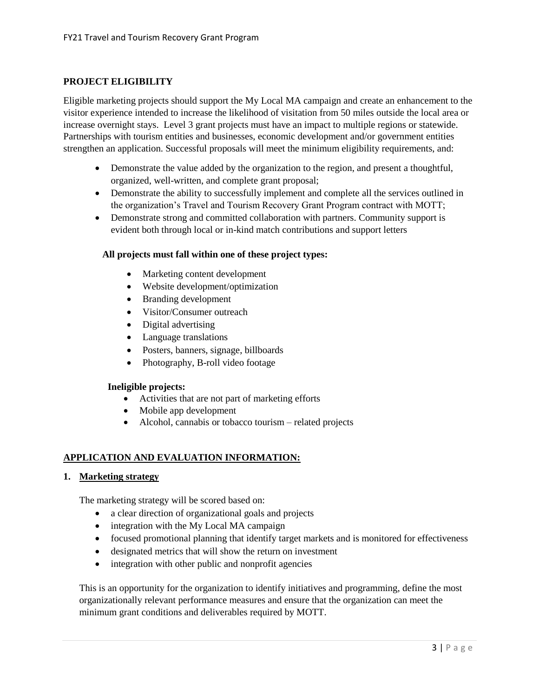#### **PROJECT ELIGIBILITY**

Eligible marketing projects should support the My Local MA campaign and create an enhancement to the visitor experience intended to increase the likelihood of visitation from 50 miles outside the local area or increase overnight stays. Level 3 grant projects must have an impact to multiple regions or statewide. Partnerships with tourism entities and businesses, economic development and/or government entities strengthen an application. Successful proposals will meet the minimum eligibility requirements, and:

- Demonstrate the value added by the organization to the region, and present a thoughtful, organized, well-written, and complete grant proposal;
- Demonstrate the ability to successfully implement and complete all the services outlined in the organization's Travel and Tourism Recovery Grant Program contract with MOTT;
- Demonstrate strong and committed collaboration with partners. Community support is evident both through local or in-kind match contributions and support letters

#### **All projects must fall within one of these project types:**

- Marketing content development
- Website development/optimization
- Branding development
- Visitor/Consumer outreach
- Digital advertising
- Language translations
- Posters, banners, signage, billboards
- Photography, B-roll video footage

#### **Ineligible projects:**

- Activities that are not part of marketing efforts
- Mobile app development
- Alcohol, cannabis or tobacco tourism related projects

#### **APPLICATION AND EVALUATION INFORMATION:**

#### **1. Marketing strategy**

The marketing strategy will be scored based on:

- a clear direction of organizational goals and projects
- integration with the My Local MA campaign
- focused promotional planning that identify target markets and is monitored for effectiveness
- designated metrics that will show the return on investment
- integration with other public and nonprofit agencies

This is an opportunity for the organization to identify initiatives and programming, define the most organizationally relevant performance measures and ensure that the organization can meet the minimum grant conditions and deliverables required by MOTT.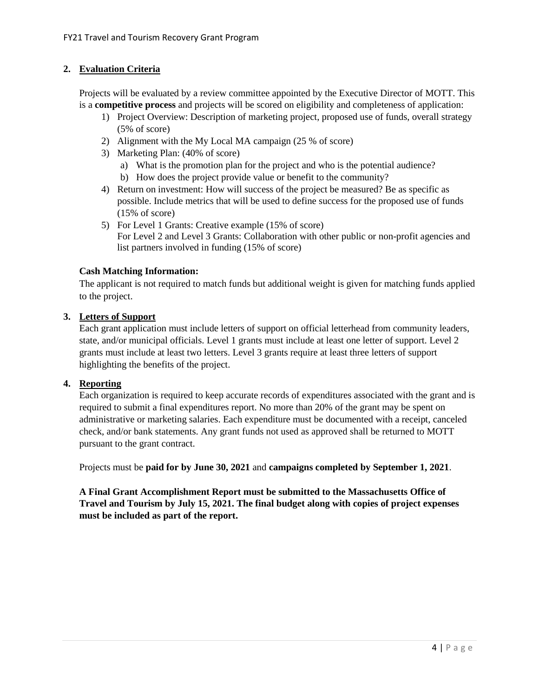#### **2. Evaluation Criteria**

Projects will be evaluated by a review committee appointed by the Executive Director of MOTT. This is a **competitive process** and projects will be scored on eligibility and completeness of application:

- 1) Project Overview: Description of marketing project, proposed use of funds, overall strategy (5% of score)
- 2) Alignment with the My Local MA campaign (25 % of score)
- 3) Marketing Plan: (40% of score)
	- a) What is the promotion plan for the project and who is the potential audience?
	- b) How does the project provide value or benefit to the community?
- 4) Return on investment: How will success of the project be measured? Be as specific as possible. Include metrics that will be used to define success for the proposed use of funds (15% of score)
- 5) For Level 1 Grants: Creative example (15% of score) For Level 2 and Level 3 Grants: Collaboration with other public or non-profit agencies and list partners involved in funding (15% of score)

#### **Cash Matching Information:**

The applicant is not required to match funds but additional weight is given for matching funds applied to the project.

#### **3. Letters of Support**

Each grant application must include letters of support on official letterhead from community leaders, state, and/or municipal officials. Level 1 grants must include at least one letter of support. Level 2 grants must include at least two letters. Level 3 grants require at least three letters of support highlighting the benefits of the project.

#### **4. Reporting**

Each organization is required to keep accurate records of expenditures associated with the grant and is required to submit a final expenditures report. No more than 20% of the grant may be spent on administrative or marketing salaries. Each expenditure must be documented with a receipt, canceled check, and/or bank statements. Any grant funds not used as approved shall be returned to MOTT pursuant to the grant contract.

Projects must be **paid for by June 30, 2021** and **campaigns completed by September 1, 2021**.

**A Final Grant Accomplishment Report must be submitted to the Massachusetts Office of Travel and Tourism by July 15, 2021. The final budget along with copies of project expenses must be included as part of the report.**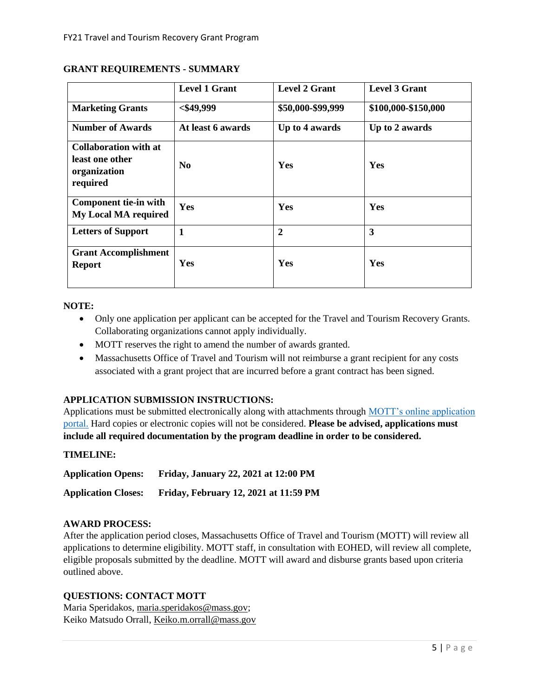|                                                                             | <b>Level 1 Grant</b> | <b>Level 2 Grant</b> | <b>Level 3 Grant</b> |
|-----------------------------------------------------------------------------|----------------------|----------------------|----------------------|
| <b>Marketing Grants</b>                                                     | $<$ \$49,999         | \$50,000-\$99,999    | \$100,000-\$150,000  |
| <b>Number of Awards</b>                                                     | At least 6 awards    | Up to 4 awards       | Up to 2 awards       |
| <b>Collaboration with at</b><br>least one other<br>organization<br>required | N <sub>0</sub>       | Yes                  | Yes                  |
| <b>Component tie-in with</b><br><b>My Local MA required</b>                 | Yes                  | Yes                  | Yes                  |
| <b>Letters of Support</b>                                                   | 1                    | $\overline{2}$       | 3                    |
| <b>Grant Accomplishment</b><br><b>Report</b>                                | Yes                  | Yes                  | Yes                  |

#### **GRANT REQUIREMENTS - SUMMARY**

#### **NOTE:**

- Only one application per applicant can be accepted for the Travel and Tourism Recovery Grants. Collaborating organizations cannot apply individually.
- MOTT reserves the right to amend the number of awards granted.
- Massachusetts Office of Travel and Tourism will not reimburse a grant recipient for any costs associated with a grant project that are incurred before a grant contract has been signed.

#### **APPLICATION SUBMISSION INSTRUCTIONS:**

Applications must be submitted electronically along with attachments through [MOTT's online application](https://www.mass.gov/forms/travel-and-tourism-recovery-grant-program-for-fy21)  [portal.](https://www.mass.gov/forms/travel-and-tourism-recovery-grant-program-for-fy21) Hard copies or electronic copies will not be considered. **Please be advised, applications must include all required documentation by the program deadline in order to be considered.** 

#### **TIMELINE:**

**Application Opens: Friday, January 22, 2021 at 12:00 PM Application Closes: Friday, February 12, 2021 at 11:59 PM**

#### **AWARD PROCESS:**

After the application period closes, Massachusetts Office of Travel and Tourism (MOTT) will review all applications to determine eligibility. MOTT staff, in consultation with EOHED, will review all complete, eligible proposals submitted by the deadline. MOTT will award and disburse grants based upon criteria outlined above.

#### **QUESTIONS: CONTACT MOTT**

Maria Speridakos, [maria.speridakos@mass.gov;](mailto:maria.speridakos@mass.gov) Keiko Matsudo Orrall[, Keiko.m.orrall@mass.gov](mailto:Keiko.m.orrall@mass.gov)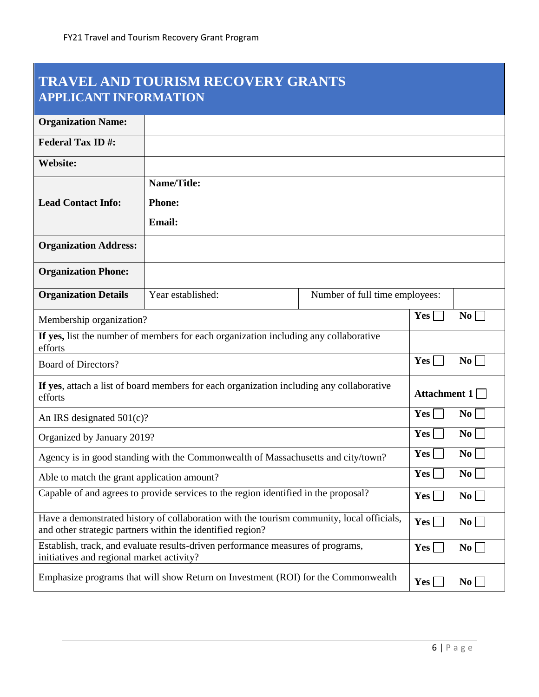# **TRAVEL AND TOURISM RECOVERY GRANTS APPLICANT INFORMATION**

| <b>Organization Name:</b>                                                        |                                                                                                                                                         |                                |                        |                  |
|----------------------------------------------------------------------------------|---------------------------------------------------------------------------------------------------------------------------------------------------------|--------------------------------|------------------------|------------------|
| <b>Federal Tax ID#:</b>                                                          |                                                                                                                                                         |                                |                        |                  |
| <b>Website:</b>                                                                  |                                                                                                                                                         |                                |                        |                  |
|                                                                                  | <b>Name/Title:</b>                                                                                                                                      |                                |                        |                  |
| <b>Lead Contact Info:</b>                                                        | <b>Phone:</b>                                                                                                                                           |                                |                        |                  |
|                                                                                  | <b>Email:</b>                                                                                                                                           |                                |                        |                  |
| <b>Organization Address:</b>                                                     |                                                                                                                                                         |                                |                        |                  |
| <b>Organization Phone:</b>                                                       |                                                                                                                                                         |                                |                        |                  |
| <b>Organization Details</b>                                                      | Year established:                                                                                                                                       | Number of full time employees: |                        |                  |
| Membership organization?                                                         |                                                                                                                                                         |                                | $Yes \lceil$           | $\bf{No}$        |
| efforts                                                                          | If yes, list the number of members for each organization including any collaborative                                                                    |                                |                        |                  |
| <b>Board of Directors?</b>                                                       |                                                                                                                                                         |                                | <b>Yes</b>             | $\bf{No}$        |
| efforts                                                                          | If yes, attach a list of board members for each organization including any collaborative                                                                |                                | Attachment 1           |                  |
| An IRS designated $501(c)$ ?                                                     |                                                                                                                                                         | Yes                            | $\bf{No}$              |                  |
| Organized by January 2019?                                                       |                                                                                                                                                         | Yes                            | $\mathbf{N}\mathbf{o}$ |                  |
| Agency is in good standing with the Commonwealth of Massachusetts and city/town? |                                                                                                                                                         | Yes                            | $\bf{No}$              |                  |
| Able to match the grant application amount?                                      |                                                                                                                                                         | Yes                            | $\bf{No}$              |                  |
|                                                                                  | Capable of and agrees to provide services to the region identified in the proposal?                                                                     |                                | Yes                    | N <sub>0</sub>   |
|                                                                                  | Have a demonstrated history of collaboration with the tourism community, local officials,<br>and other strategic partners within the identified region? |                                | <b>Yes</b>             | $\bf{No}$        |
| initiatives and regional market activity?                                        | Establish, track, and evaluate results-driven performance measures of programs,                                                                         |                                | Yes                    | $\bf{No}$        |
|                                                                                  | Emphasize programs that will show Return on Investment (ROI) for the Commonwealth                                                                       |                                | $\bf Yes$              | $\bf{No}$ $\Box$ |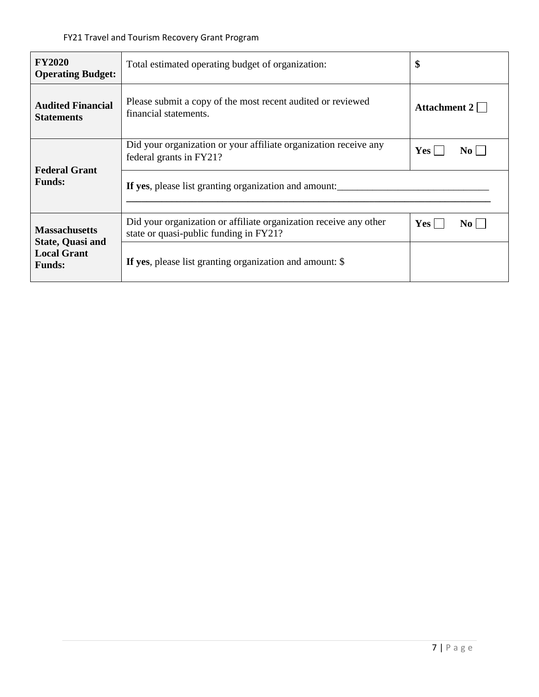| <b>FY2020</b><br><b>Operating Budget:</b>                                       | Total estimated operating budget of organization:                                                           | \$                  |  |
|---------------------------------------------------------------------------------|-------------------------------------------------------------------------------------------------------------|---------------------|--|
| <b>Audited Financial</b><br><b>Statements</b>                                   | Please submit a copy of the most recent audited or reviewed<br>financial statements.                        | Attachment $2 \Box$ |  |
|                                                                                 | Did your organization or your affiliate organization receive any<br>federal grants in FY21?                 | Yes  <br>$\bf{No}$  |  |
| <b>Federal Grant</b><br><b>Funds:</b>                                           | If yes, please list granting organization and amount:                                                       |                     |  |
| <b>Massachusetts</b><br>State, Quasi and<br><b>Local Grant</b><br><b>Funds:</b> | Did your organization or affiliate organization receive any other<br>state or quasi-public funding in FY21? | $Yes \vert$<br>No L |  |
|                                                                                 | If yes, please list granting organization and amount: \$                                                    |                     |  |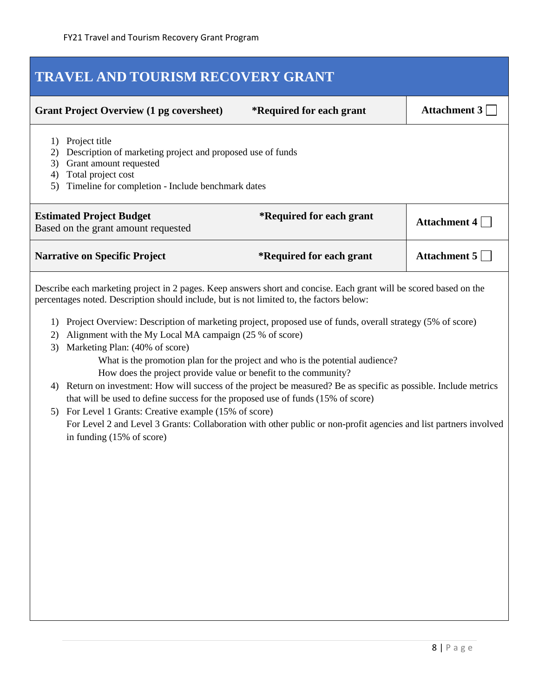| TRAVEL AND TOURISM RECOVERY GRANT |                                                                                                                                                                                                                                                                                                                                                                                                                                                                                                                                                                                                                                                                                                                                                                                                    |                                                                               |                     |
|-----------------------------------|----------------------------------------------------------------------------------------------------------------------------------------------------------------------------------------------------------------------------------------------------------------------------------------------------------------------------------------------------------------------------------------------------------------------------------------------------------------------------------------------------------------------------------------------------------------------------------------------------------------------------------------------------------------------------------------------------------------------------------------------------------------------------------------------------|-------------------------------------------------------------------------------|---------------------|
|                                   | <b>Grant Project Overview (1 pg coversheet)</b>                                                                                                                                                                                                                                                                                                                                                                                                                                                                                                                                                                                                                                                                                                                                                    | *Required for each grant                                                      | Attachment $3\Box$  |
| 1)<br>2)<br>3)<br>4)<br>5)        | Project title<br>Description of marketing project and proposed use of funds<br>Grant amount requested<br>Total project cost<br>Timeline for completion - Include benchmark dates                                                                                                                                                                                                                                                                                                                                                                                                                                                                                                                                                                                                                   |                                                                               |                     |
|                                   | <b>Estimated Project Budget</b><br>Based on the grant amount requested                                                                                                                                                                                                                                                                                                                                                                                                                                                                                                                                                                                                                                                                                                                             | *Required for each grant                                                      | Attachment 4 $\Box$ |
|                                   | <b>Narrative on Specific Project</b>                                                                                                                                                                                                                                                                                                                                                                                                                                                                                                                                                                                                                                                                                                                                                               | *Required for each grant                                                      | Attachment 5        |
| 1)<br>2)<br>3)<br>4)              | percentages noted. Description should include, but is not limited to, the factors below:<br>Project Overview: Description of marketing project, proposed use of funds, overall strategy (5% of score)<br>Alignment with the My Local MA campaign (25 % of score)<br>Marketing Plan: (40% of score)<br>How does the project provide value or benefit to the community?<br>Return on investment: How will success of the project be measured? Be as specific as possible. Include metrics<br>that will be used to define success for the proposed use of funds (15% of score)<br>5) For Level 1 Grants: Creative example (15% of score)<br>For Level 2 and Level 3 Grants: Collaboration with other public or non-profit agencies and list partners involved<br>in funding $(15\% \text{ of score})$ | What is the promotion plan for the project and who is the potential audience? |                     |